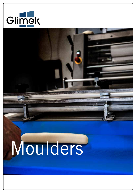

# Moulders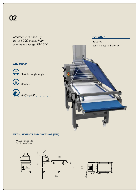$\bigcirc$ 

*Moulder with capacity up to 3000 pieces/hour and weight range 30-1800 g.*

# Easy to clean Movable Flexible dough weight Semi-Industrial Bakeries. **WHY MO300**

#### MEASUREMENTS AND DRAWINGS [MM]

MO300 pictured with handles on right side.







Bakeries.

FOR WHO?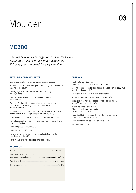# Moulder

### MO300

*The true Scandinavian origin of moulder for loaves, baguettes, buns or even round bread/pizzas. Foldable pressure board for easy cleaning.*

#### FEATURES AND BENEFITS

Easy to operate. Easy to set up. Uncomplicated design.

Pressure board with dual V shaped profiles for gentle and effective shaping of the dough.

Centrally adjustable infeed enables a correct positioning of the dough piece.

Flexible - many different doughs and end products (form and weight).

Two pair of adjustable pressure rollers with spring loaded scrapers for easy cleaning. One pair is 250 mm wide and the other is 400 mm wide.

Pressure board 650 x 1100 mm with two wedges is foldable, and can be locked in an upright position for easy cleaning.

Collection tray with two positions enables straight line outfeed.

Parallel adjustable side guides in stainless steel for more efficient positioning (option).

Motorized pressure board (option).

Lower side guides 10 mm (option).

Handles on left or right side must be indicated upon order (see drawing to the left).

Parts in blue for better detection and food safety.

#### **TECHNICAL**

| Capacity range.                   | up to 3000 pcs/h. |
|-----------------------------------|-------------------|
| Weight range, subject to capacity | 30-1800 g.        |
| Working width.                    | up to 650 mm.     |
| Power supply.                     | 1 1 kW            |

#### **OPTIONS**

Height extension 100 mm. (Standard is 590 mm plus wheels 140 mm.)

Leaning hopper for better side access to infeed (left or right, must be indicated upon order).

Lower side guides – 10 mm, non-stick coated.

Motorized pressure board – capacity 1800 pcs/h.

Counter rotating with fixed speed. (Affects power supply, plus 0.55 kW, totally 1.65 kW.)

Parallel adjustable side guides: 20 mm in food approved plastic. 10 mm non-stick coated.

Three fixed knives mounted through the pressure board for 4-pieces (distance to be stated).

Three adjustable knives under pressure board.

Stainless Steel Frame.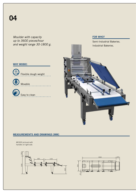*Moulder with capacity up to 3600 pieces/hour and weight range 30-1800 g.*

#### **WHY MO881**



Flexible dough weight



Movable

Easy to clean

FOR WHO?



#### MEASUREMENTS AND DRAWINGS [MM]

MO300 pictured with handles on right side.



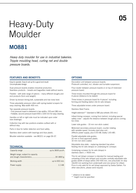# Heavy-Duty Moulder

### MO881

*Heavy duty moulder for use in industrial bakeries. Tripple moulding head, curling net and double pressure boards.*

#### FEATURES AND BENEFITS

Easy to operate. Easy to set up for a good end result. Uncomplicated design.

Dual pressure boards enables industrial production. Seamless products – breads and baguettes made without seams.

Flexible – with wide range of options – many different doughs and end products (form and weight).

Driven by tension timing belt, sustainable and low noise level.

Three adjustable pressure rollers with spring-loaded scrapers for easy cleaning. Max width 400 mm.

Two separate pressure boards:

- First pressure board is delivered in two widths, 220 and 280 mm.

- Foldable, second pressure board 650 x 1100 mm for easy cleaning.

Handles on left or right side must be indicated upon order (see drawings).

Collection tray with two positions enables outfeed with or without stop.

Parts in blue for better detection and food safety.

Stainless steel castors with bearings and blue plastic.

Moulder extention available - see MO211 on page 06-07.

#### **TECHNICAL**

| Capacity range.                   | up to 3600 pcs/h. |
|-----------------------------------|-------------------|
| Weight range, subject to capacity | 30-1800 g.        |
| Working width.<br>.               | up to 650 mm.     |
| Power supply.                     | $11$ kW           |
|                                   |                   |

#### **OPTIONS**

Decoration unit between pressure boards. Photocell controlled, incl. vibrator and turnable suspension.

Flour duster between pressure boards or on top of motorized pressure board.

Three knives mounted through the pressure board for 4-pieces (distance to be stated).

Three knives in pressure board for 4-pieces\* including forming and feeding station into tin sets (straps).

Three adjustable knives under pressure board.

Stainless Steel Frame.

Height extension\*\* (standard is 580 plus wheels 155 mm.)

Infeed timing conveyor, coming from behind, including special safety cover – adjusts the distance between dough pieces coming too close.

Lower side guides – 10 mm non-stick coated.

Motorized secondary pressure board, counter rotating with variable speed. Includes start-stop unit : (Affects power supply, plus 0.55 kW, totally 1.65 kW).

Parallel adjustable side guides: 20 mm in food approved plastic. 10 mm non-stick coated.

Adjustable stop plate – replacing standard tray when feeding into tin sets (straps) on underlying tin conveyor.

Underlying conveyor for tin sets (straps) in stainless steel  $L = 4500$  mm.

This tin set (strap) conveyor is intended for manual loading and unloading of this sets (straps) and includes centrally adjustable side guides (width of straps within 250-500 mm, one pneumatic tin stop 14x100 mm working from underneath and one sensor for infeed. Price is only valid for tin set (strap) approved by Sveba Dahlen. For other executions, please send request.

\* *distance to be stated.*

\*\* *height must be specified.*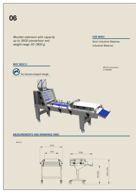*Moulder extension with capacity up to 3600 pieces/hour and weight range 30-1800 g.*

#### FOR WHO?

Semi-Industrial Bakeries. Industrial Bakeries.

#### **WHY MO211**



MO211 assembled on MO881.



#### MEASUREMENTS AND DRAWINGS [MM]

MO211



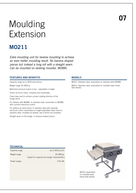# Moulding Extension

### MO211

*Extra moulding unit for reverse moulding to achieve an even better moulding result. No banana shaped pieces but instead a long roll with a straight seam. Can be mounted on existing moulder, MO881.* 

#### FEATURES AND BENEFITS

Capacity range up to 3600 pieces/hour.

Weight range 30-1800 g.

Motorized pressure board on top – adjustable in height.

Driven by Drum motor, noiseless and sustainable.

Fixed lower part to achieve counter rotating direction of the dough piece.

For delivery with MO881: In stainless steel, assembled on MO881, with common electrical control.

For delivery as stand alone: In stainless steel with separate electrical control, assembled on height adjustable lower frame in stainless steel, movable (on wheels, two of which are lockable).

Straight seam on the dough, no banana shaped pieces.

#### MODELS

MO211: Stainless steel, assembled on stainless steel MO881.

MO211: Stainless steel, assembled on movable lower frame with wheels.

#### **TECHNICAL**

| Capacity range. | up to 3600 pcs/h.                                                |
|-----------------|------------------------------------------------------------------|
| Weight range.   | $.30 - 1800$ g.<br>Subject to capacity and dough characteristics |
| Power supply    | $0.55$ kW.                                                       |